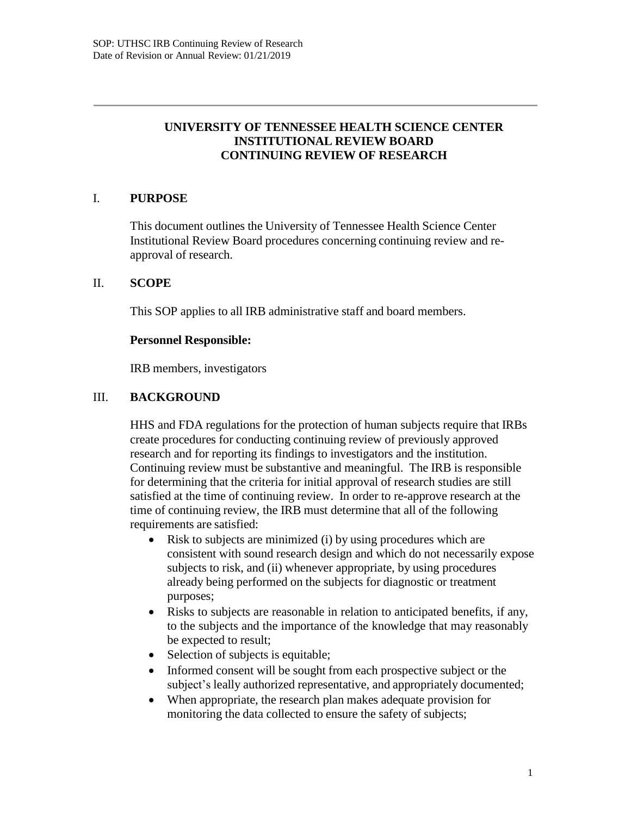# **UNIVERSITY OF TENNESSEE HEALTH SCIENCE CENTER INSTITUTIONAL REVIEW BOARD CONTINUING REVIEW OF RESEARCH**

### I. **PURPOSE**

This document outlines the University of Tennessee Health Science Center Institutional Review Board procedures concerning continuing review and reapproval of research.

### II. **SCOPE**

This SOP applies to all IRB administrative staff and board members.

### **Personnel Responsible:**

IRB members, investigators

### III. **BACKGROUND**

HHS and FDA regulations for the protection of human subjects require that IRBs create procedures for conducting continuing review of previously approved research and for reporting its findings to investigators and the institution. Continuing review must be substantive and meaningful. The IRB is responsible for determining that the criteria for initial approval of research studies are still satisfied at the time of continuing review. In order to re-approve research at the time of continuing review, the IRB must determine that all of the following requirements are satisfied:

- Risk to subjects are minimized (i) by using procedures which are consistent with sound research design and which do not necessarily expose subjects to risk, and (ii) whenever appropriate, by using procedures already being performed on the subjects for diagnostic or treatment purposes;
- Risks to subjects are reasonable in relation to anticipated benefits, if any, to the subjects and the importance of the knowledge that may reasonably be expected to result;
- Selection of subjects is equitable;
- Informed consent will be sought from each prospective subject or the subject's leally authorized representative, and appropriately documented;
- When appropriate, the research plan makes adequate provision for monitoring the data collected to ensure the safety of subjects;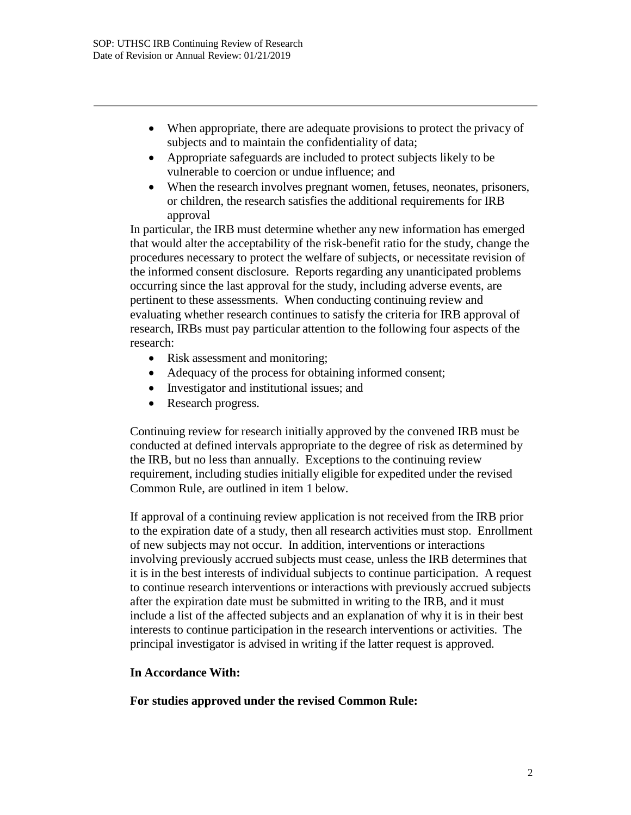- When appropriate, there are adequate provisions to protect the privacy of subjects and to maintain the confidentiality of data;
- Appropriate safeguards are included to protect subjects likely to be vulnerable to coercion or undue influence; and
- When the research involves pregnant women, fetuses, neonates, prisoners, or children, the research satisfies the additional requirements for IRB approval

In particular, the IRB must determine whether any new information has emerged that would alter the acceptability of the risk-benefit ratio for the study, change the procedures necessary to protect the welfare of subjects, or necessitate revision of the informed consent disclosure. Reports regarding any unanticipated problems occurring since the last approval for the study, including adverse events, are pertinent to these assessments. When conducting continuing review and evaluating whether research continues to satisfy the criteria for IRB approval of research, IRBs must pay particular attention to the following four aspects of the research:

- Risk assessment and monitoring;
- Adequacy of the process for obtaining informed consent;
- Investigator and institutional issues; and
- Research progress.

Continuing review for research initially approved by the convened IRB must be conducted at defined intervals appropriate to the degree of risk as determined by the IRB, but no less than annually. Exceptions to the continuing review requirement, including studies initially eligible for expedited under the revised Common Rule, are outlined in item 1 below.

If approval of a continuing review application is not received from the IRB prior to the expiration date of a study, then all research activities must stop. Enrollment of new subjects may not occur. In addition, interventions or interactions involving previously accrued subjects must cease, unless the IRB determines that it is in the best interests of individual subjects to continue participation. A request to continue research interventions or interactions with previously accrued subjects after the expiration date must be submitted in writing to the IRB, and it must include a list of the affected subjects and an explanation of why it is in their best interests to continue participation in the research interventions or activities. The principal investigator is advised in writing if the latter request is approved.

# **In Accordance With:**

**For studies approved under the revised Common Rule:**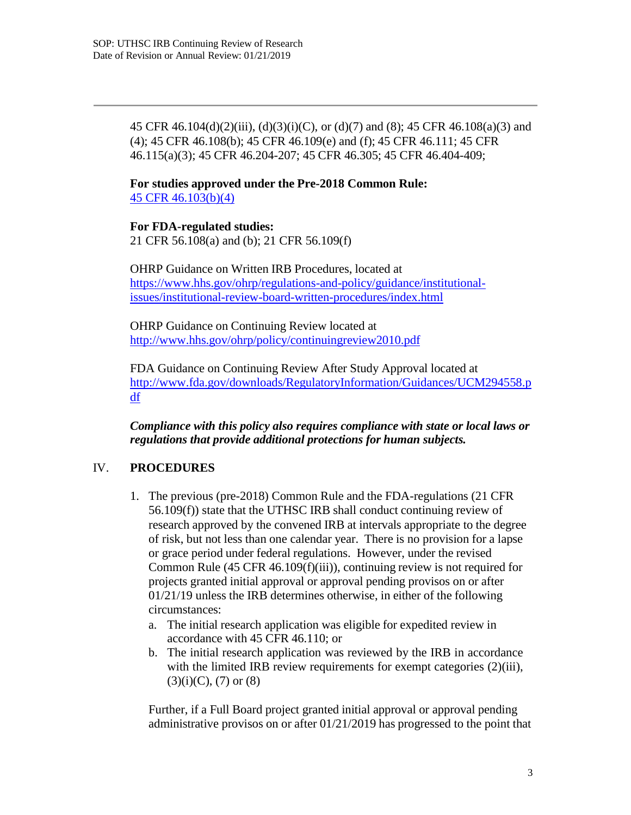45 CFR 46.104(d)(2)(iii), (d)(3)(i)(C), or (d)(7) and (8); 45 CFR 46.108(a)(3) and (4); 45 CFR 46.108(b); 45 CFR 46.109(e) and (f); 45 CFR 46.111; 45 CFR 46.115(a)(3); 45 CFR 46.204-207; 45 CFR 46.305; 45 CFR 46.404-409;

**For studies approved under the Pre-2018 Common Rule:** 45 CFR 46.103(b)(4)

**For FDA-regulated studies:** 21 CFR 56.108(a) and (b); 21 CFR 56.109(f)

OHRP Guidance on Written IRB Procedures, located at https:/[/www.hhs.gov/ohrp/regulations-and-policy/guidance/institutional](http://www.hhs.gov/ohrp/regulations-and-policy/guidance/institutional-)issues/institutional-review-board-written-procedures/index.html

OHRP Guidance on Continuing Review located at <http://www.hhs.gov/ohrp/policy/continuingreview2010.pdf>

FDA Guidance on Continuing Review After Study Approval located at <http://www.fda.gov/downloads/RegulatoryInformation/Guidances/UCM294558.p> df

*Compliance with this policy also requires compliance with state or local laws or regulations that provide additional protections for human subjects.*

# IV. **PROCEDURES**

- 1. The previous (pre-2018) Common Rule and the FDA-regulations (21 CFR 56.109(f)) state that the UTHSC IRB shall conduct continuing review of research approved by the convened IRB at intervals appropriate to the degree of risk, but not less than one calendar year. There is no provision for a lapse or grace period under federal regulations. However, under the revised Common Rule (45 CFR 46.109(f)(iii)), continuing review is not required for projects granted initial approval or approval pending provisos on or after 01/21/19 unless the IRB determines otherwise, in either of the following circumstances:
	- a. The initial research application was eligible for expedited review in accordance with 45 CFR 46.110; or
	- b. The initial research application was reviewed by the IRB in accordance with the limited IRB review requirements for exempt categories (2)(iii),  $(3)(i)(C)$ ,  $(7)$  or  $(8)$

Further, if a Full Board project granted initial approval or approval pending administrative provisos on or after 01/21/2019 has progressed to the point that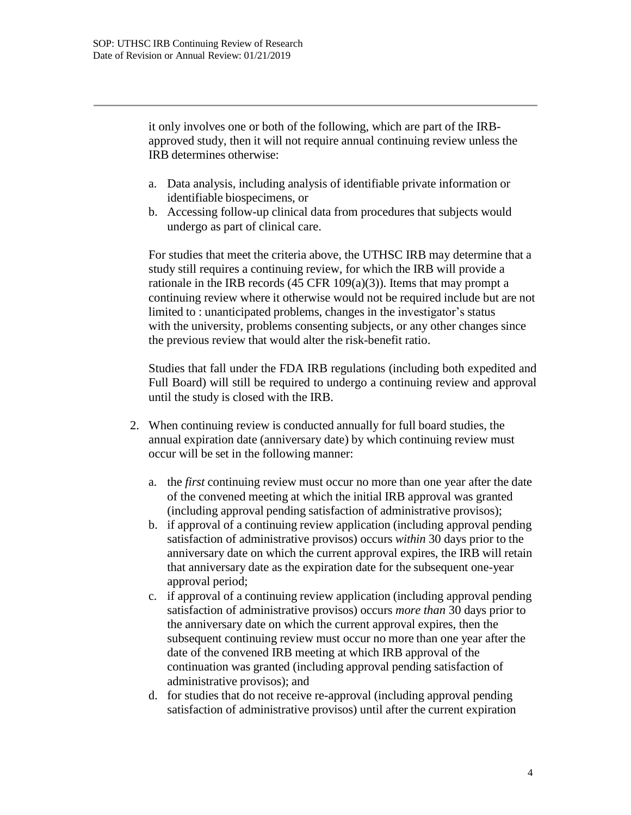it only involves one or both of the following, which are part of the IRBapproved study, then it will not require annual continuing review unless the IRB determines otherwise:

- a. Data analysis, including analysis of identifiable private information or identifiable biospecimens, or
- b. Accessing follow-up clinical data from procedures that subjects would undergo as part of clinical care.

For studies that meet the criteria above, the UTHSC IRB may determine that a study still requires a continuing review, for which the IRB will provide a rationale in the IRB records  $(45 \text{ CFR } 109(a)(3))$ . Items that may prompt a continuing review where it otherwise would not be required include but are not limited to : unanticipated problems, changes in the investigator's status with the university, problems consenting subjects, or any other changes since the previous review that would alter the risk-benefit ratio.

Studies that fall under the FDA IRB regulations (including both expedited and Full Board) will still be required to undergo a continuing review and approval until the study is closed with the IRB.

- 2. When continuing review is conducted annually for full board studies, the annual expiration date (anniversary date) by which continuing review must occur will be set in the following manner:
	- a. the *first* continuing review must occur no more than one year after the date of the convened meeting at which the initial IRB approval was granted (including approval pending satisfaction of administrative provisos);
	- b. if approval of a continuing review application (including approval pending satisfaction of administrative provisos) occurs *within* 30 days prior to the anniversary date on which the current approval expires, the IRB will retain that anniversary date as the expiration date for the subsequent one-year approval period;
	- c. if approval of a continuing review application (including approval pending satisfaction of administrative provisos) occurs *more than* 30 days prior to the anniversary date on which the current approval expires, then the subsequent continuing review must occur no more than one year after the date of the convened IRB meeting at which IRB approval of the continuation was granted (including approval pending satisfaction of administrative provisos); and
	- d. for studies that do not receive re-approval (including approval pending satisfaction of administrative provisos) until after the current expiration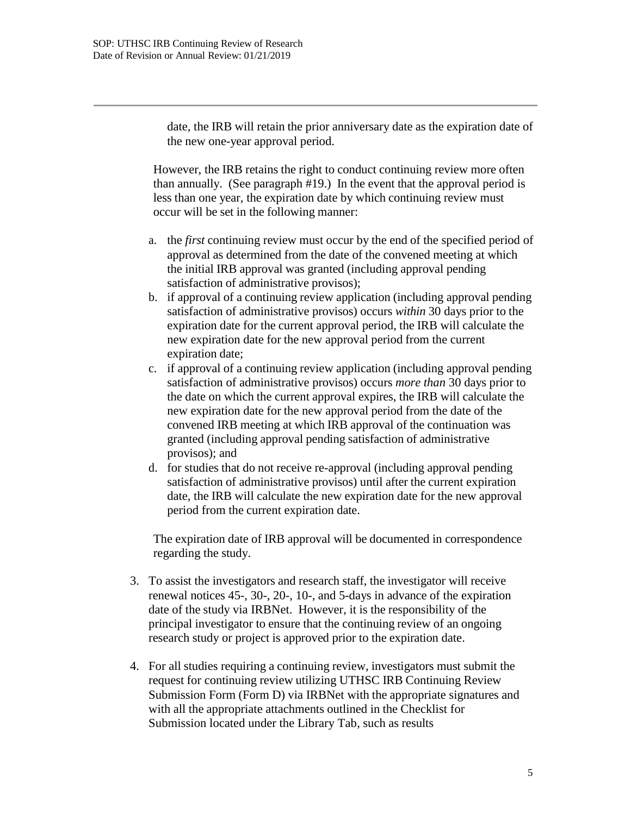date, the IRB will retain the prior anniversary date as the expiration date of the new one-year approval period.

However, the IRB retains the right to conduct continuing review more often than annually. (See paragraph #19.) In the event that the approval period is less than one year, the expiration date by which continuing review must occur will be set in the following manner:

- a. the *first* continuing review must occur by the end of the specified period of approval as determined from the date of the convened meeting at which the initial IRB approval was granted (including approval pending satisfaction of administrative provisos);
- b. if approval of a continuing review application (including approval pending satisfaction of administrative provisos) occurs *within* 30 days prior to the expiration date for the current approval period, the IRB will calculate the new expiration date for the new approval period from the current expiration date;
- c. if approval of a continuing review application (including approval pending satisfaction of administrative provisos) occurs *more than* 30 days prior to the date on which the current approval expires, the IRB will calculate the new expiration date for the new approval period from the date of the convened IRB meeting at which IRB approval of the continuation was granted (including approval pending satisfaction of administrative provisos); and
- d. for studies that do not receive re-approval (including approval pending satisfaction of administrative provisos) until after the current expiration date, the IRB will calculate the new expiration date for the new approval period from the current expiration date.

The expiration date of IRB approval will be documented in correspondence regarding the study.

- 3. To assist the investigators and research staff, the investigator will receive renewal notices 45-, 30-, 20-, 10-, and 5-days in advance of the expiration date of the study via IRBNet. However, it is the responsibility of the principal investigator to ensure that the continuing review of an ongoing research study or project is approved prior to the expiration date.
- 4. For all studies requiring a continuing review, investigators must submit the request for continuing review utilizing UTHSC IRB Continuing Review Submission Form (Form D) via IRBNet with the appropriate signatures and with all the appropriate attachments outlined in the Checklist for Submission located under the Library Tab, such as results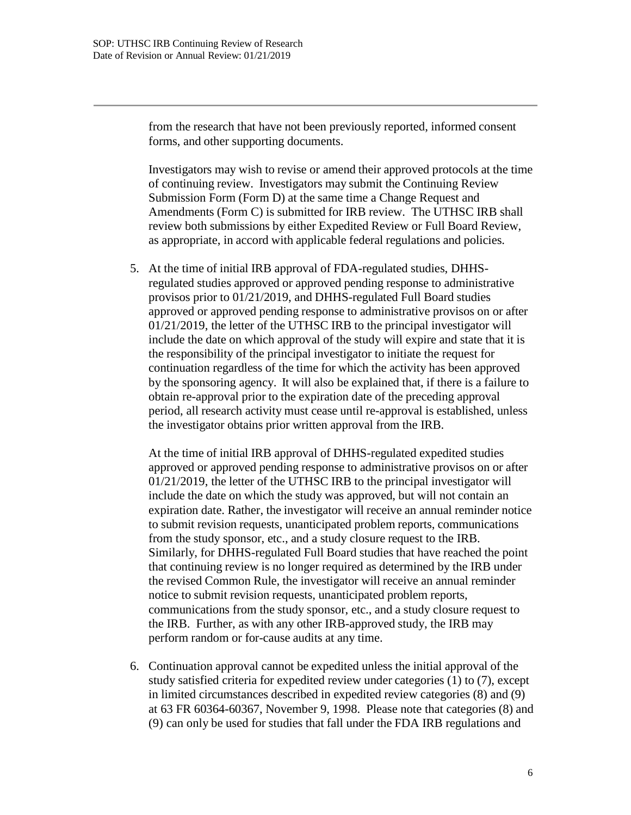from the research that have not been previously reported, informed consent forms, and other supporting documents.

Investigators may wish to revise or amend their approved protocols at the time of continuing review. Investigators may submit the Continuing Review Submission Form (Form D) at the same time a Change Request and Amendments (Form C) is submitted for IRB review. The UTHSC IRB shall review both submissions by either Expedited Review or Full Board Review, as appropriate, in accord with applicable federal regulations and policies.

5. At the time of initial IRB approval of FDA-regulated studies, DHHSregulated studies approved or approved pending response to administrative provisos prior to 01/21/2019, and DHHS-regulated Full Board studies approved or approved pending response to administrative provisos on or after 01/21/2019, the letter of the UTHSC IRB to the principal investigator will include the date on which approval of the study will expire and state that it is the responsibility of the principal investigator to initiate the request for continuation regardless of the time for which the activity has been approved by the sponsoring agency. It will also be explained that, if there is a failure to obtain re-approval prior to the expiration date of the preceding approval period, all research activity must cease until re-approval is established, unless the investigator obtains prior written approval from the IRB.

At the time of initial IRB approval of DHHS-regulated expedited studies approved or approved pending response to administrative provisos on or after 01/21/2019, the letter of the UTHSC IRB to the principal investigator will include the date on which the study was approved, but will not contain an expiration date. Rather, the investigator will receive an annual reminder notice to submit revision requests, unanticipated problem reports, communications from the study sponsor, etc., and a study closure request to the IRB. Similarly, for DHHS-regulated Full Board studies that have reached the point that continuing review is no longer required as determined by the IRB under the revised Common Rule, the investigator will receive an annual reminder notice to submit revision requests, unanticipated problem reports, communications from the study sponsor, etc., and a study closure request to the IRB. Further, as with any other IRB-approved study, the IRB may perform random or for-cause audits at any time.

6. Continuation approval cannot be expedited unless the initial approval of the study satisfied criteria for expedited review under categories (1) to (7), except in limited circumstances described in expedited review categories (8) and (9) at 63 FR 60364-60367, November 9, 1998. Please note that categories (8) and (9) can only be used for studies that fall under the FDA IRB regulations and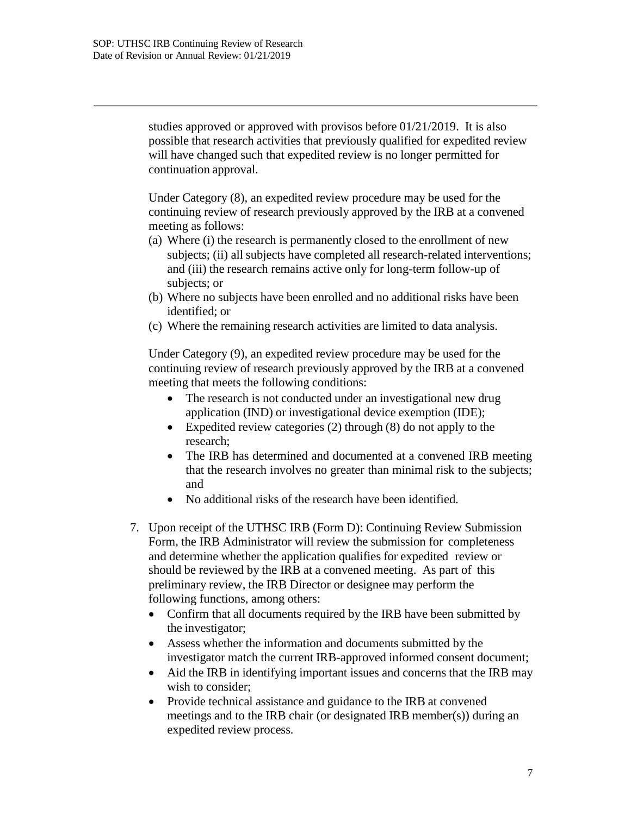studies approved or approved with provisos before 01/21/2019. It is also possible that research activities that previously qualified for expedited review will have changed such that expedited review is no longer permitted for continuation approval.

Under Category (8), an expedited review procedure may be used for the continuing review of research previously approved by the IRB at a convened meeting as follows:

- (a) Where (i) the research is permanently closed to the enrollment of new subjects; (ii) all subjects have completed all research-related interventions; and (iii) the research remains active only for long-term follow-up of subjects; or
- (b) Where no subjects have been enrolled and no additional risks have been identified; or
- (c) Where the remaining research activities are limited to data analysis.

Under Category (9), an expedited review procedure may be used for the continuing review of research previously approved by the IRB at a convened meeting that meets the following conditions:

- The research is not conducted under an investigational new drug application (IND) or investigational device exemption (IDE);
- Expedited review categories (2) through (8) do not apply to the research;
- The IRB has determined and documented at a convened IRB meeting that the research involves no greater than minimal risk to the subjects; and
- No additional risks of the research have been identified.
- 7. Upon receipt of the UTHSC IRB (Form D): Continuing Review Submission Form, the IRB Administrator will review the submission for completeness and determine whether the application qualifies for expedited review or should be reviewed by the IRB at a convened meeting. As part of this preliminary review, the IRB Director or designee may perform the following functions, among others:
	- Confirm that all documents required by the IRB have been submitted by the investigator;
	- Assess whether the information and documents submitted by the investigator match the current IRB-approved informed consent document;
	- Aid the IRB in identifying important issues and concerns that the IRB may wish to consider:
	- Provide technical assistance and guidance to the IRB at convened meetings and to the IRB chair (or designated IRB member(s)) during an expedited review process.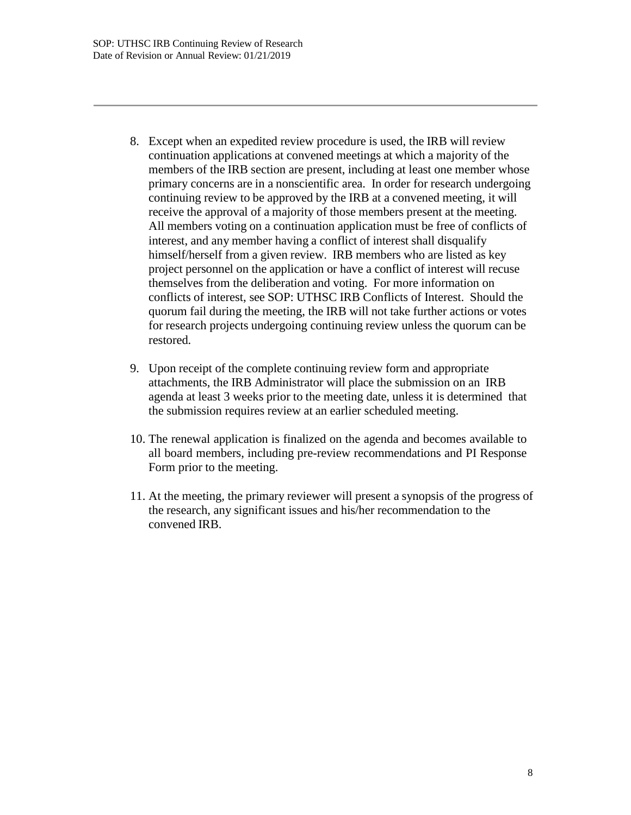- 8. Except when an expedited review procedure is used, the IRB will review continuation applications at convened meetings at which a majority of the members of the IRB section are present, including at least one member whose primary concerns are in a nonscientific area. In order for research undergoing continuing review to be approved by the IRB at a convened meeting, it will receive the approval of a majority of those members present at the meeting. All members voting on a continuation application must be free of conflicts of interest, and any member having a conflict of interest shall disqualify himself/herself from a given review. IRB members who are listed as key project personnel on the application or have a conflict of interest will recuse themselves from the deliberation and voting. For more information on conflicts of interest, see SOP: UTHSC IRB Conflicts of Interest. Should the quorum fail during the meeting, the IRB will not take further actions or votes for research projects undergoing continuing review unless the quorum can be restored.
- 9. Upon receipt of the complete continuing review form and appropriate attachments, the IRB Administrator will place the submission on an IRB agenda at least 3 weeks prior to the meeting date, unless it is determined that the submission requires review at an earlier scheduled meeting.
- 10. The renewal application is finalized on the agenda and becomes available to all board members, including pre-review recommendations and PI Response Form prior to the meeting.
- 11. At the meeting, the primary reviewer will present a synopsis of the progress of the research, any significant issues and his/her recommendation to the convened IRB.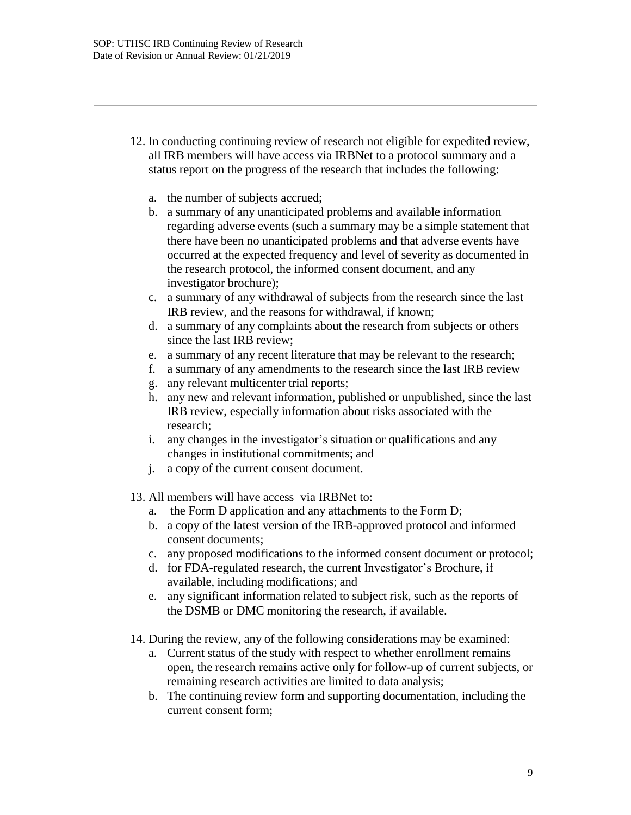- 12. In conducting continuing review of research not eligible for expedited review, all IRB members will have access via IRBNet to a protocol summary and a status report on the progress of the research that includes the following:
	- a. the number of subjects accrued;
	- b. a summary of any unanticipated problems and available information regarding adverse events (such a summary may be a simple statement that there have been no unanticipated problems and that adverse events have occurred at the expected frequency and level of severity as documented in the research protocol, the informed consent document, and any investigator brochure);
	- c. a summary of any withdrawal of subjects from the research since the last IRB review, and the reasons for withdrawal, if known;
	- d. a summary of any complaints about the research from subjects or others since the last IRB review;
	- e. a summary of any recent literature that may be relevant to the research;
	- f. a summary of any amendments to the research since the last IRB review
	- g. any relevant multicenter trial reports;
	- h. any new and relevant information, published or unpublished, since the last IRB review, especially information about risks associated with the research;
	- i. any changes in the investigator's situation or qualifications and any changes in institutional commitments; and
	- j. a copy of the current consent document.
- 13. All members will have access via IRBNet to:
	- a. the Form D application and any attachments to the Form D;
	- b. a copy of the latest version of the IRB-approved protocol and informed consent documents;
	- c. any proposed modifications to the informed consent document or protocol;
	- d. for FDA-regulated research, the current Investigator's Brochure, if available, including modifications; and
	- e. any significant information related to subject risk, such as the reports of the DSMB or DMC monitoring the research, if available.
- 14. During the review, any of the following considerations may be examined:
	- a. Current status of the study with respect to whether enrollment remains open, the research remains active only for follow-up of current subjects, or remaining research activities are limited to data analysis;
	- b. The continuing review form and supporting documentation, including the current consent form;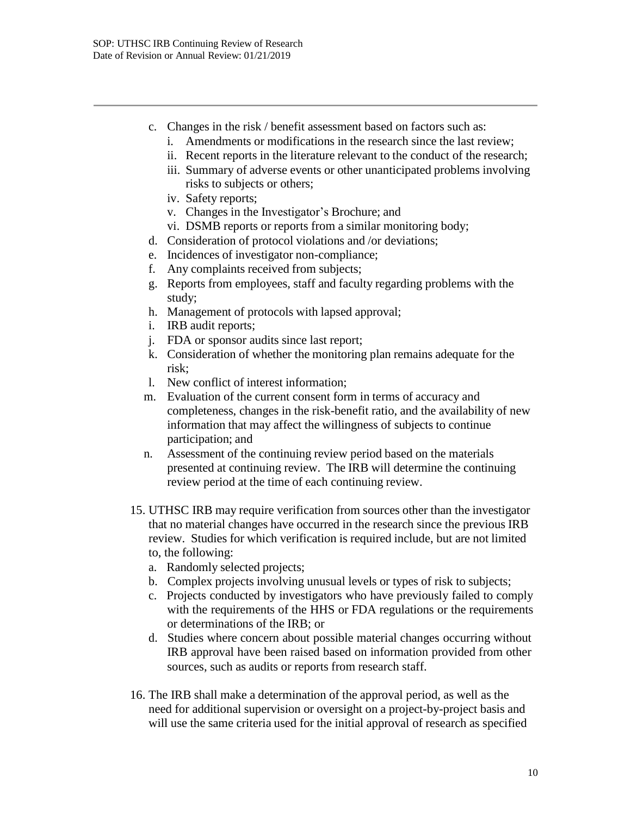- c. Changes in the risk / benefit assessment based on factors such as:
	- i. Amendments or modifications in the research since the last review;
	- ii. Recent reports in the literature relevant to the conduct of the research;
	- iii. Summary of adverse events or other unanticipated problems involving risks to subjects or others;
	- iv. Safety reports;
	- v. Changes in the Investigator's Brochure; and
	- vi. DSMB reports or reports from a similar monitoring body;
- d. Consideration of protocol violations and /or deviations;
- e. Incidences of investigator non-compliance;
- f. Any complaints received from subjects;
- g. Reports from employees, staff and faculty regarding problems with the study;
- h. Management of protocols with lapsed approval;
- i. IRB audit reports;
- j. FDA or sponsor audits since last report;
- k. Consideration of whether the monitoring plan remains adequate for the risk;
- l. New conflict of interest information;
- m. Evaluation of the current consent form in terms of accuracy and completeness, changes in the risk-benefit ratio, and the availability of new information that may affect the willingness of subjects to continue participation; and
- n. Assessment of the continuing review period based on the materials presented at continuing review. The IRB will determine the continuing review period at the time of each continuing review.
- 15. UTHSC IRB may require verification from sources other than the investigator that no material changes have occurred in the research since the previous IRB review. Studies for which verification is required include, but are not limited to, the following:
	- a. Randomly selected projects;
	- b. Complex projects involving unusual levels or types of risk to subjects;
	- c. Projects conducted by investigators who have previously failed to comply with the requirements of the HHS or FDA regulations or the requirements or determinations of the IRB; or
	- d. Studies where concern about possible material changes occurring without IRB approval have been raised based on information provided from other sources, such as audits or reports from research staff.
- 16. The IRB shall make a determination of the approval period, as well as the need for additional supervision or oversight on a project-by-project basis and will use the same criteria used for the initial approval of research as specified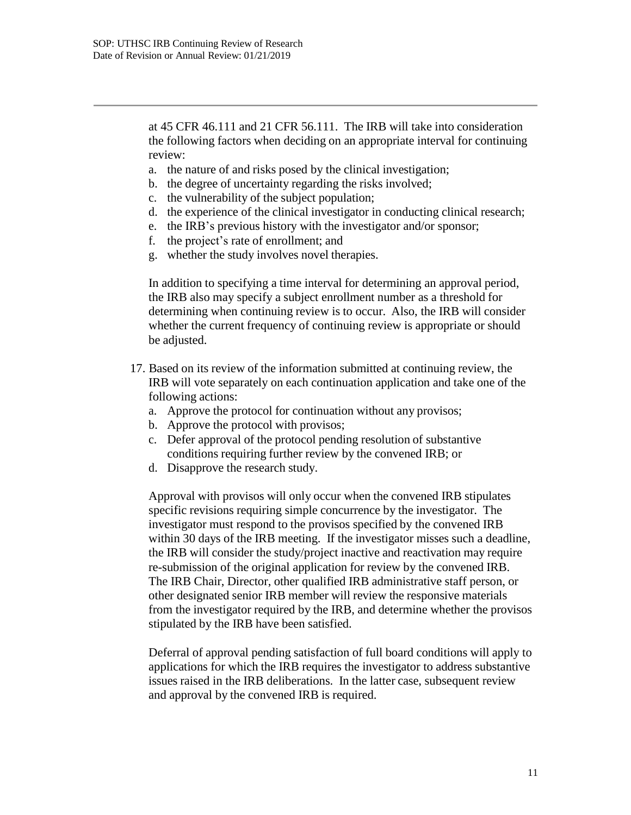at 45 CFR 46.111 and 21 CFR 56.111. The IRB will take into consideration the following factors when deciding on an appropriate interval for continuing review:

- a. the nature of and risks posed by the clinical investigation;
- b. the degree of uncertainty regarding the risks involved;
- c. the vulnerability of the subject population;
- d. the experience of the clinical investigator in conducting clinical research;
- e. the IRB's previous history with the investigator and/or sponsor;
- f. the project's rate of enrollment; and
- g. whether the study involves novel therapies.

In addition to specifying a time interval for determining an approval period, the IRB also may specify a subject enrollment number as a threshold for determining when continuing review is to occur. Also, the IRB will consider whether the current frequency of continuing review is appropriate or should be adjusted.

- 17. Based on its review of the information submitted at continuing review, the IRB will vote separately on each continuation application and take one of the following actions:
	- a. Approve the protocol for continuation without any provisos;
	- b. Approve the protocol with provisos;
	- c. Defer approval of the protocol pending resolution of substantive conditions requiring further review by the convened IRB; or
	- d. Disapprove the research study.

Approval with provisos will only occur when the convened IRB stipulates specific revisions requiring simple concurrence by the investigator. The investigator must respond to the provisos specified by the convened IRB within 30 days of the IRB meeting. If the investigator misses such a deadline, the IRB will consider the study/project inactive and reactivation may require re-submission of the original application for review by the convened IRB. The IRB Chair, Director, other qualified IRB administrative staff person, or other designated senior IRB member will review the responsive materials from the investigator required by the IRB, and determine whether the provisos stipulated by the IRB have been satisfied.

Deferral of approval pending satisfaction of full board conditions will apply to applications for which the IRB requires the investigator to address substantive issues raised in the IRB deliberations. In the latter case, subsequent review and approval by the convened IRB is required.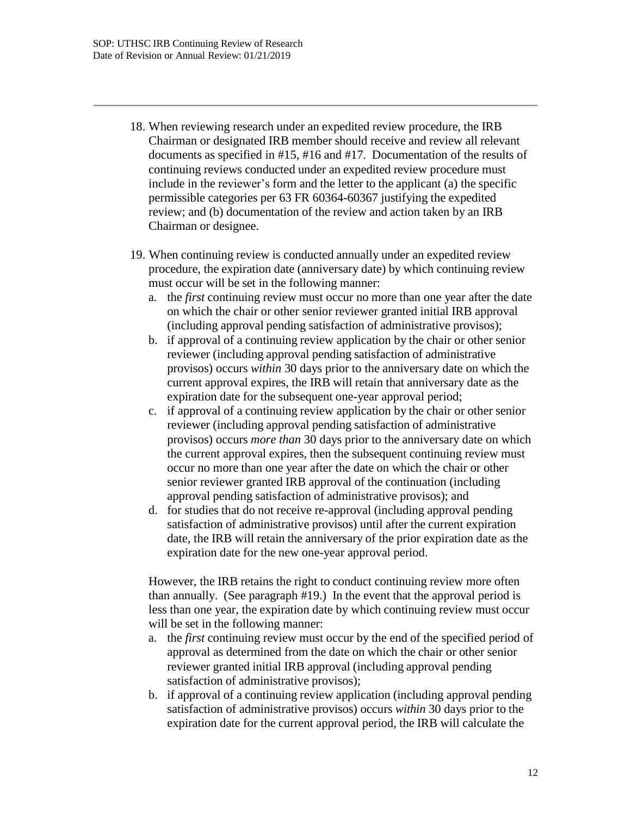- 18. When reviewing research under an expedited review procedure, the IRB Chairman or designated IRB member should receive and review all relevant documents as specified in #15, #16 and #17. Documentation of the results of continuing reviews conducted under an expedited review procedure must include in the reviewer's form and the letter to the applicant (a) the specific permissible categories per 63 FR 60364-60367 justifying the expedited review; and (b) documentation of the review and action taken by an IRB Chairman or designee.
- 19. When continuing review is conducted annually under an expedited review procedure, the expiration date (anniversary date) by which continuing review must occur will be set in the following manner:
	- a. the *first* continuing review must occur no more than one year after the date on which the chair or other senior reviewer granted initial IRB approval (including approval pending satisfaction of administrative provisos);
	- b. if approval of a continuing review application by the chair or other senior reviewer (including approval pending satisfaction of administrative provisos) occurs *within* 30 days prior to the anniversary date on which the current approval expires, the IRB will retain that anniversary date as the expiration date for the subsequent one-year approval period;
	- c. if approval of a continuing review application by the chair or other senior reviewer (including approval pending satisfaction of administrative provisos) occurs *more than* 30 days prior to the anniversary date on which the current approval expires, then the subsequent continuing review must occur no more than one year after the date on which the chair or other senior reviewer granted IRB approval of the continuation (including approval pending satisfaction of administrative provisos); and
	- d. for studies that do not receive re-approval (including approval pending satisfaction of administrative provisos) until after the current expiration date, the IRB will retain the anniversary of the prior expiration date as the expiration date for the new one-year approval period.

However, the IRB retains the right to conduct continuing review more often than annually. (See paragraph #19.) In the event that the approval period is less than one year, the expiration date by which continuing review must occur will be set in the following manner:

- a. the *first* continuing review must occur by the end of the specified period of approval as determined from the date on which the chair or other senior reviewer granted initial IRB approval (including approval pending satisfaction of administrative provisos);
- b. if approval of a continuing review application (including approval pending satisfaction of administrative provisos) occurs *within* 30 days prior to the expiration date for the current approval period, the IRB will calculate the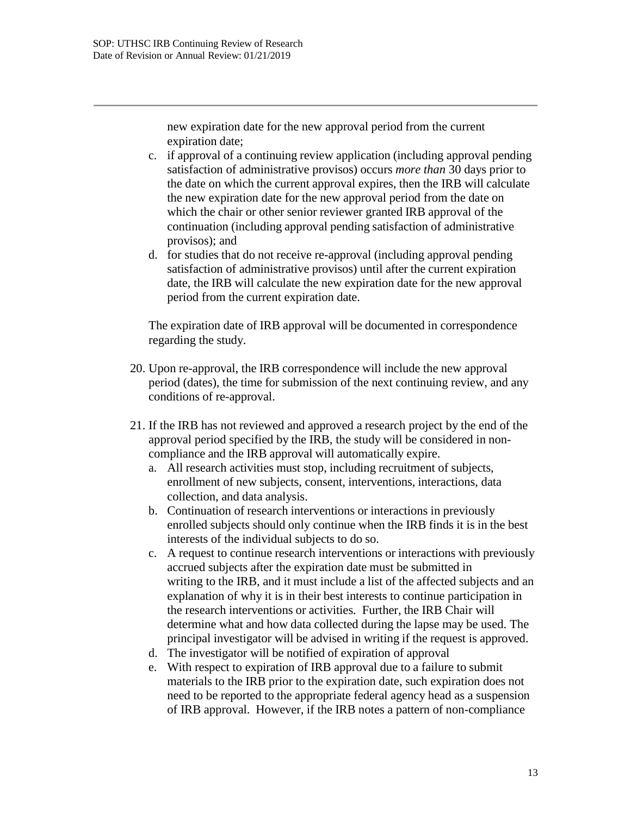new expiration date for the new approval period from the current expiration date;

- c. if approval of a continuing review application (including approval pending satisfaction of administrative provisos) occurs *more than* 30 days prior to the date on which the current approval expires, then the IRB will calculate the new expiration date for the new approval period from the date on which the chair or other senior reviewer granted IRB approval of the continuation (including approval pending satisfaction of administrative provisos); and
- d. for studies that do not receive re-approval (including approval pending satisfaction of administrative provisos) until after the current expiration date, the IRB will calculate the new expiration date for the new approval period from the current expiration date.

The expiration date of IRB approval will be documented in correspondence regarding the study.

- 20. Upon re-approval, the IRB correspondence will include the new approval period (dates), the time for submission of the next continuing review, and any conditions of re-approval.
- 21. If the IRB has not reviewed and approved a research project by the end of the approval period specified by the IRB, the study will be considered in noncompliance and the IRB approval will automatically expire.
	- a. All research activities must stop, including recruitment of subjects, enrollment of new subjects, consent, interventions, interactions, data collection, and data analysis.
	- b. Continuation of research interventions or interactions in previously enrolled subjects should only continue when the IRB finds it is in the best interests of the individual subjects to do so.
	- c. A request to continue research interventions or interactions with previously accrued subjects after the expiration date must be submitted in writing to the IRB, and it must include a list of the affected subjects and an explanation of why it is in their best interests to continue participation in the research interventions or activities. Further, the IRB Chair will determine what and how data collected during the lapse may be used. The principal investigator will be advised in writing if the request is approved.
	- d. The investigator will be notified of expiration of approval
	- e. With respect to expiration of IRB approval due to a failure to submit materials to the IRB prior to the expiration date, such expiration does not need to be reported to the appropriate federal agency head as a suspension of IRB approval. However, if the IRB notes a pattern of non-compliance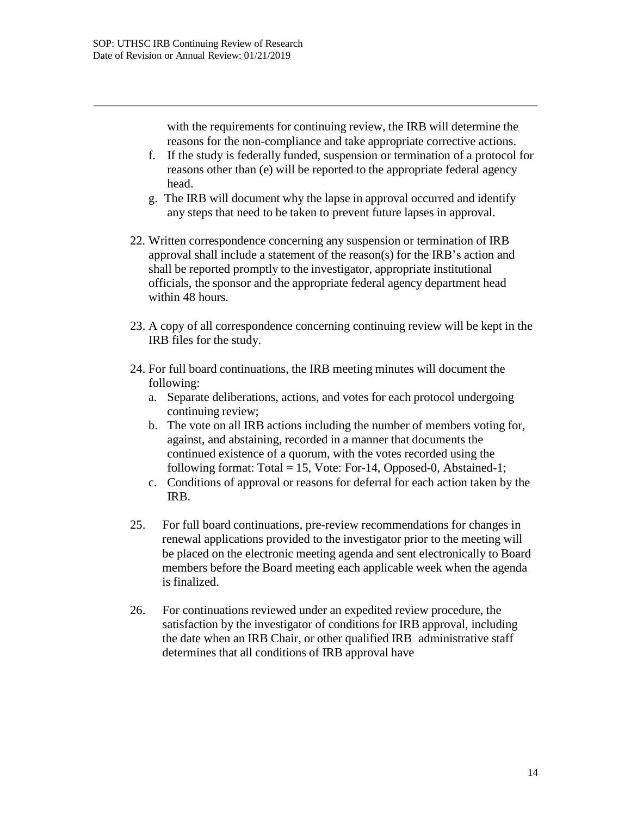with the requirements for continuing review, the IRB will determine the reasons for the non-compliance and take appropriate corrective actions.

- f. If the study is federally funded, suspension or termination of a protocol for reasons other than (e) will be reported to the appropriate federal agency head.
- g. The IRB will document why the lapse in approval occurred and identify any steps that need to be taken to prevent future lapses in approval.
- 22. Written correspondence concerning any suspension or termination of IRB approval shall include a statement of the reason(s) for the IRB's action and shall be reported promptly to the investigator, appropriate institutional officials, the sponsor and the appropriate federal agency department head within 48 hours.
- 23. A copy of all correspondence concerning continuing review will be kept in the IRB files for the study.
- 24. For full board continuations, the IRB meeting minutes will document the following:
	- a. Separate deliberations, actions, and votes for each protocol undergoing continuing review;
	- b. The vote on all IRB actions including the number of members voting for, against, and abstaining, recorded in a manner that documents the continued existence of a quorum, with the votes recorded using the following format: Total = 15, Vote: For-14, Opposed-0, Abstained-1;
	- c. Conditions of approval or reasons for deferral for each action taken by the IRB.
- 25. For full board continuations, pre-review recommendations for changes in renewal applications provided to the investigator prior to the meeting will be placed on the electronic meeting agenda and sent electronically to Board members before the Board meeting each applicable week when the agenda is finalized.
- 26. For continuations reviewed under an expedited review procedure, the satisfaction by the investigator of conditions for IRB approval, including the date when an IRB Chair, or other qualified IRB administrative staff determines that all conditions of IRB approval have